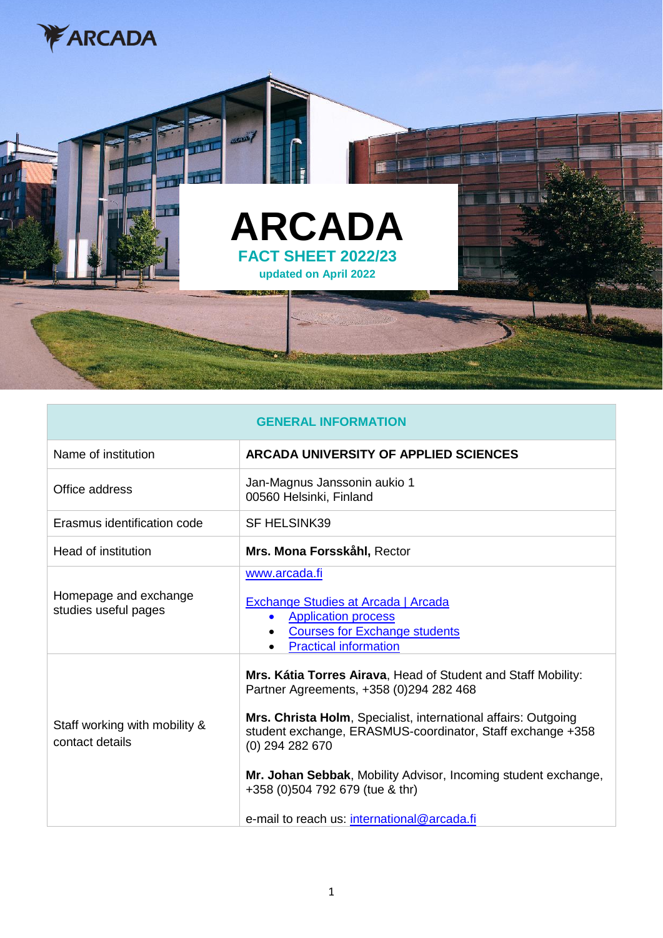



| <b>GENERAL INFORMATION</b>                       |                                                                                                                                                                                                                                                                                                                                                                                                                  |
|--------------------------------------------------|------------------------------------------------------------------------------------------------------------------------------------------------------------------------------------------------------------------------------------------------------------------------------------------------------------------------------------------------------------------------------------------------------------------|
| Name of institution                              | ARCADA UNIVERSITY OF APPLIED SCIENCES                                                                                                                                                                                                                                                                                                                                                                            |
| Office address                                   | Jan-Magnus Janssonin aukio 1<br>00560 Helsinki, Finland                                                                                                                                                                                                                                                                                                                                                          |
| Erasmus identification code                      | <b>SF HELSINK39</b>                                                                                                                                                                                                                                                                                                                                                                                              |
| Head of institution                              | Mrs. Mona Forsskåhl, Rector                                                                                                                                                                                                                                                                                                                                                                                      |
| Homepage and exchange<br>studies useful pages    | www.arcada.fi<br><b>Exchange Studies at Arcada   Arcada</b><br><b>Application process</b><br>$\bullet$<br><b>Courses for Exchange students</b><br><b>Practical information</b>                                                                                                                                                                                                                                   |
| Staff working with mobility &<br>contact details | Mrs. Kátia Torres Airava, Head of Student and Staff Mobility:<br>Partner Agreements, +358 (0) 294 282 468<br>Mrs. Christa Holm, Specialist, international affairs: Outgoing<br>student exchange, ERASMUS-coordinator, Staff exchange +358<br>(0) 294 282 670<br>Mr. Johan Sebbak, Mobility Advisor, Incoming student exchange,<br>+358 (0)504 792 679 (tue & thr)<br>e-mail to reach us: international@arcada.fi |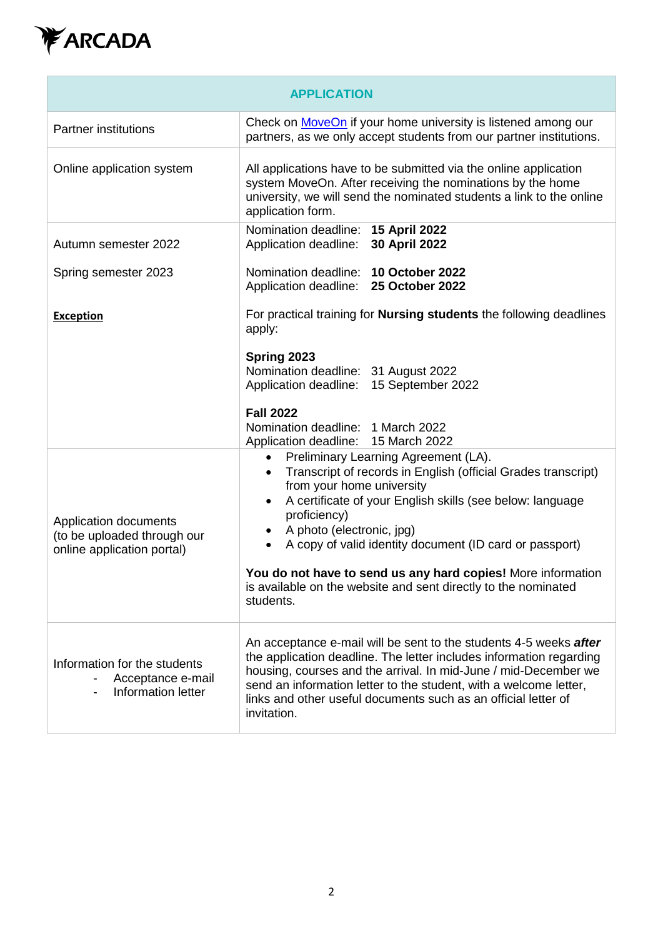

| <b>APPLICATION</b>                                                                 |                                                                                                                                                                                                                                                                                                                                                                                                                                                                          |
|------------------------------------------------------------------------------------|--------------------------------------------------------------------------------------------------------------------------------------------------------------------------------------------------------------------------------------------------------------------------------------------------------------------------------------------------------------------------------------------------------------------------------------------------------------------------|
| <b>Partner institutions</b>                                                        | Check on MoveOn if your home university is listened among our<br>partners, as we only accept students from our partner institutions.                                                                                                                                                                                                                                                                                                                                     |
| Online application system                                                          | All applications have to be submitted via the online application<br>system MoveOn. After receiving the nominations by the home<br>university, we will send the nominated students a link to the online<br>application form.                                                                                                                                                                                                                                              |
| Autumn semester 2022                                                               | Nomination deadline: 15 April 2022<br>Application deadline: 30 April 2022                                                                                                                                                                                                                                                                                                                                                                                                |
| Spring semester 2023                                                               | Nomination deadline: 10 October 2022<br>Application deadline: 25 October 2022                                                                                                                                                                                                                                                                                                                                                                                            |
| <b>Exception</b>                                                                   | For practical training for <b>Nursing students</b> the following deadlines<br>apply:                                                                                                                                                                                                                                                                                                                                                                                     |
|                                                                                    | Spring 2023<br>Nomination deadline: 31 August 2022<br>Application deadline: 15 September 2022<br><b>Fall 2022</b><br>Nomination deadline: 1 March 2022<br>Application deadline: 15 March 2022                                                                                                                                                                                                                                                                            |
| Application documents<br>(to be uploaded through our<br>online application portal) | Preliminary Learning Agreement (LA).<br>$\bullet$<br>Transcript of records in English (official Grades transcript)<br>from your home university<br>A certificate of your English skills (see below: language<br>٠<br>proficiency)<br>A photo (electronic, jpg)<br>A copy of valid identity document (ID card or passport)<br>You do not have to send us any hard copies! More information<br>is available on the website and sent directly to the nominated<br>students. |
| Information for the students<br>Acceptance e-mail<br>Information letter            | An acceptance e-mail will be sent to the students 4-5 weeks after<br>the application deadline. The letter includes information regarding<br>housing, courses and the arrival. In mid-June / mid-December we<br>send an information letter to the student, with a welcome letter,<br>links and other useful documents such as an official letter of<br>invitation.                                                                                                        |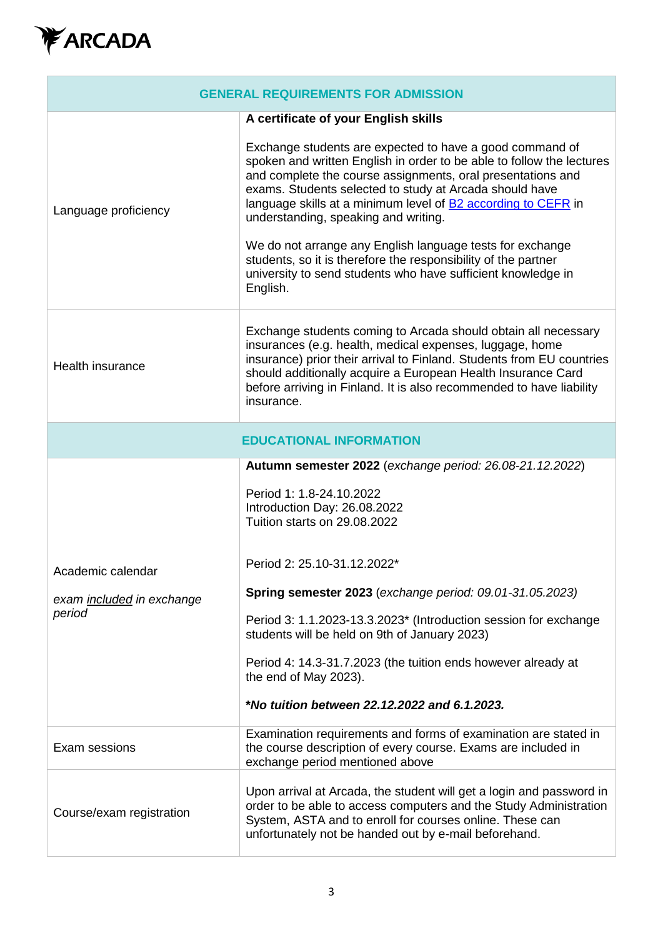

| <b>GENERAL REQUIREMENTS FOR ADMISSION</b>                |                                                                                                                                                                                                                                                                                                                                                                                                                                                                                                                                                                                        |  |
|----------------------------------------------------------|----------------------------------------------------------------------------------------------------------------------------------------------------------------------------------------------------------------------------------------------------------------------------------------------------------------------------------------------------------------------------------------------------------------------------------------------------------------------------------------------------------------------------------------------------------------------------------------|--|
| A certificate of your English skills                     |                                                                                                                                                                                                                                                                                                                                                                                                                                                                                                                                                                                        |  |
| Language proficiency                                     | Exchange students are expected to have a good command of<br>spoken and written English in order to be able to follow the lectures<br>and complete the course assignments, oral presentations and<br>exams. Students selected to study at Arcada should have<br>language skills at a minimum level of <b>B2</b> according to CEFR in<br>understanding, speaking and writing.<br>We do not arrange any English language tests for exchange<br>students, so it is therefore the responsibility of the partner<br>university to send students who have sufficient knowledge in<br>English. |  |
| <b>Health insurance</b>                                  | Exchange students coming to Arcada should obtain all necessary<br>insurances (e.g. health, medical expenses, luggage, home<br>insurance) prior their arrival to Finland. Students from EU countries<br>should additionally acquire a European Health Insurance Card<br>before arriving in Finland. It is also recommended to have liability<br>insurance.                                                                                                                                                                                                                              |  |
| <b>EDUCATIONAL INFORMATION</b>                           |                                                                                                                                                                                                                                                                                                                                                                                                                                                                                                                                                                                        |  |
| Academic calendar<br>exam included in exchange<br>period | Autumn semester 2022 (exchange period: 26.08-21.12.2022)<br>Period 1: 1.8-24.10.2022<br>Introduction Day: 26.08.2022<br>Tuition starts on 29.08.2022<br>Period 2: 25.10-31.12.2022*<br>Spring semester 2023 (exchange period: 09.01-31.05.2023)<br>Period 3: 1.1.2023-13.3.2023* (Introduction session for exchange<br>students will be held on 9th of January 2023)<br>Period 4: 14.3-31.7.2023 (the tuition ends however already at<br>the end of May 2023).                                                                                                                         |  |
|                                                          | *No tuition between 22.12.2022 and 6.1.2023.                                                                                                                                                                                                                                                                                                                                                                                                                                                                                                                                           |  |
| Exam sessions                                            | Examination requirements and forms of examination are stated in<br>the course description of every course. Exams are included in<br>exchange period mentioned above                                                                                                                                                                                                                                                                                                                                                                                                                    |  |
| Course/exam registration                                 | Upon arrival at Arcada, the student will get a login and password in<br>order to be able to access computers and the Study Administration<br>System, ASTA and to enroll for courses online. These can<br>unfortunately not be handed out by e-mail beforehand.                                                                                                                                                                                                                                                                                                                         |  |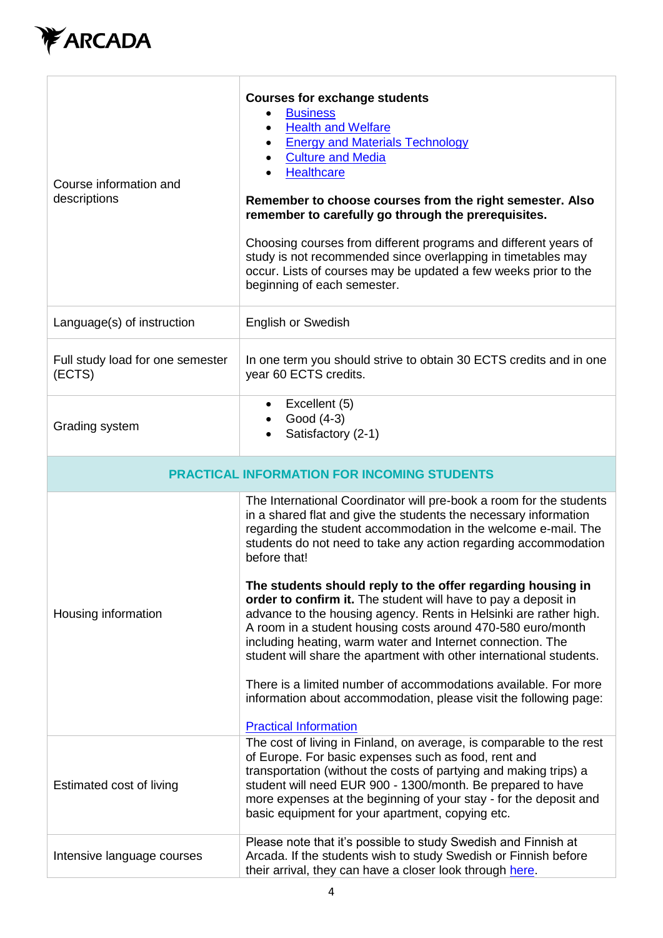

| Course information and<br>descriptions             | <b>Courses for exchange students</b><br><b>Business</b><br><b>Health and Welfare</b><br>$\bullet$<br><b>Energy and Materials Technology</b><br><b>Culture and Media</b><br><b>Healthcare</b><br>Remember to choose courses from the right semester. Also<br>remember to carefully go through the prerequisites.<br>Choosing courses from different programs and different years of<br>study is not recommended since overlapping in timetables may<br>occur. Lists of courses may be updated a few weeks prior to the<br>beginning of each semester.                                                                                                                                                                                                                                                                                                                           |
|----------------------------------------------------|--------------------------------------------------------------------------------------------------------------------------------------------------------------------------------------------------------------------------------------------------------------------------------------------------------------------------------------------------------------------------------------------------------------------------------------------------------------------------------------------------------------------------------------------------------------------------------------------------------------------------------------------------------------------------------------------------------------------------------------------------------------------------------------------------------------------------------------------------------------------------------|
| Language(s) of instruction                         | <b>English or Swedish</b>                                                                                                                                                                                                                                                                                                                                                                                                                                                                                                                                                                                                                                                                                                                                                                                                                                                      |
| Full study load for one semester<br>(ECTS)         | In one term you should strive to obtain 30 ECTS credits and in one<br>year 60 ECTS credits.                                                                                                                                                                                                                                                                                                                                                                                                                                                                                                                                                                                                                                                                                                                                                                                    |
| Grading system                                     | $\bullet$ Excellent (5)<br>Good (4-3)<br>Satisfactory (2-1)                                                                                                                                                                                                                                                                                                                                                                                                                                                                                                                                                                                                                                                                                                                                                                                                                    |
| <b>PRACTICAL INFORMATION FOR INCOMING STUDENTS</b> |                                                                                                                                                                                                                                                                                                                                                                                                                                                                                                                                                                                                                                                                                                                                                                                                                                                                                |
| Housing information                                | The International Coordinator will pre-book a room for the students<br>in a shared flat and give the students the necessary information<br>regarding the student accommodation in the welcome e-mail. The<br>students do not need to take any action regarding accommodation<br>before that!<br>The students should reply to the offer regarding housing in<br>order to confirm it. The student will have to pay a deposit in<br>advance to the housing agency. Rents in Helsinki are rather high.<br>A room in a student housing costs around 470-580 euro/month<br>including heating, warm water and Internet connection. The<br>student will share the apartment with other international students.<br>There is a limited number of accommodations available. For more<br>information about accommodation, please visit the following page:<br><b>Practical Information</b> |
| Estimated cost of living                           | The cost of living in Finland, on average, is comparable to the rest<br>of Europe. For basic expenses such as food, rent and<br>transportation (without the costs of partying and making trips) a<br>student will need EUR 900 - 1300/month. Be prepared to have<br>more expenses at the beginning of your stay - for the deposit and<br>basic equipment for your apartment, copying etc.                                                                                                                                                                                                                                                                                                                                                                                                                                                                                      |
| Intensive language courses                         | Please note that it's possible to study Swedish and Finnish at<br>Arcada. If the students wish to study Swedish or Finnish before<br>their arrival, they can have a closer look through here.                                                                                                                                                                                                                                                                                                                                                                                                                                                                                                                                                                                                                                                                                  |